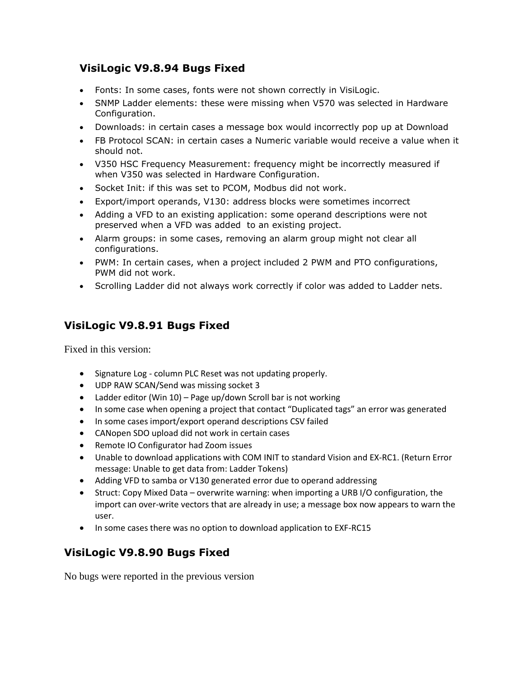# **VisiLogic V9.8.94 Bugs Fixed**

- Fonts: In some cases, fonts were not shown correctly in VisiLogic.
- SNMP Ladder elements: these were missing when V570 was selected in Hardware Configuration.
- Downloads: in certain cases a message box would incorrectly pop up at Download
- FB Protocol SCAN: in certain cases a Numeric variable would receive a value when it should not.
- V350 HSC Frequency Measurement: frequency might be incorrectly measured if when V350 was selected in Hardware Configuration.
- Socket Init: if this was set to PCOM, Modbus did not work.
- Export/import operands, V130: address blocks were sometimes incorrect
- Adding a VFD to an existing application: some operand descriptions were not preserved when a VFD was added to an existing project.
- Alarm groups: in some cases, removing an alarm group might not clear all configurations.
- PWM: In certain cases, when a project included 2 PWM and PTO configurations, PWM did not work.
- Scrolling Ladder did not always work correctly if color was added to Ladder nets.

# **VisiLogic V9.8.91 Bugs Fixed**

Fixed in this version:

- Signature Log column PLC Reset was not updating properly.
- UDP RAW SCAN/Send was missing socket 3
- Ladder editor (Win 10) Page up/down Scroll bar is not working
- In some case when opening a project that contact "Duplicated tags" an error was generated
- In some cases import/export operand descriptions CSV failed
- CANopen SDO upload did not work in certain cases
- Remote IO Configurator had Zoom issues
- Unable to download applications with COM INIT to standard Vision and EX-RC1. (Return Error message: Unable to get data from: Ladder Tokens)
- Adding VFD to samba or V130 generated error due to operand addressing
- Struct: Copy Mixed Data overwrite warning: when importing a URB I/O configuration, the import can over-write vectors that are already in use; a message box now appears to warn the user.
- In some cases there was no option to download application to EXF-RC15

## **VisiLogic V9.8.90 Bugs Fixed**

No bugs were reported in the previous version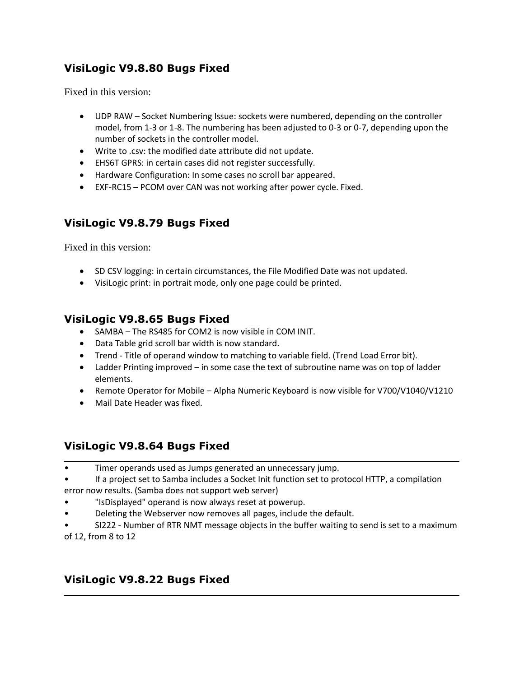# **VisiLogic V9.8.80 Bugs Fixed**

Fixed in this version:

- UDP RAW Socket Numbering Issue: sockets were numbered, depending on the controller model, from 1-3 or 1-8. The numbering has been adjusted to 0-3 or 0-7, depending upon the number of sockets in the controller model.
- Write to .csv: the modified date attribute did not update.
- EHS6T GPRS: in certain cases did not register successfully.
- Hardware Configuration: In some cases no scroll bar appeared.
- EXF-RC15 PCOM over CAN was not working after power cycle. Fixed.

## **VisiLogic V9.8.79 Bugs Fixed**

Fixed in this version:

- SD CSV logging: in certain circumstances, the File Modified Date was not updated.
- VisiLogic print: in portrait mode, only one page could be printed.

## **VisiLogic V9.8.65 Bugs Fixed**

- SAMBA The RS485 for COM2 is now visible in COM INIT.
- Data Table grid scroll bar width is now standard.
- Trend Title of operand window to matching to variable field. (Trend Load Error bit).
- Ladder Printing improved in some case the text of subroutine name was on top of ladder elements.
- Remote Operator for Mobile Alpha Numeric Keyboard is now visible for V700/V1040/V1210
- Mail Date Header was fixed.

## **VisiLogic V9.8.64 Bugs Fixed**

- Timer operands used as Jumps generated an unnecessary jump.
- If a project set to Samba includes a Socket Init function set to protocol HTTP, a compilation error now results. (Samba does not support web server)
- 
- "IsDisplayed" operand is now always reset at powerup. • Deleting the Webserver now removes all pages, include the default.
- SI222 Number of RTR NMT message objects in the buffer waiting to send is set to a maximum

of 12, from 8 to 12

## **VisiLogic V9.8.22 Bugs Fixed**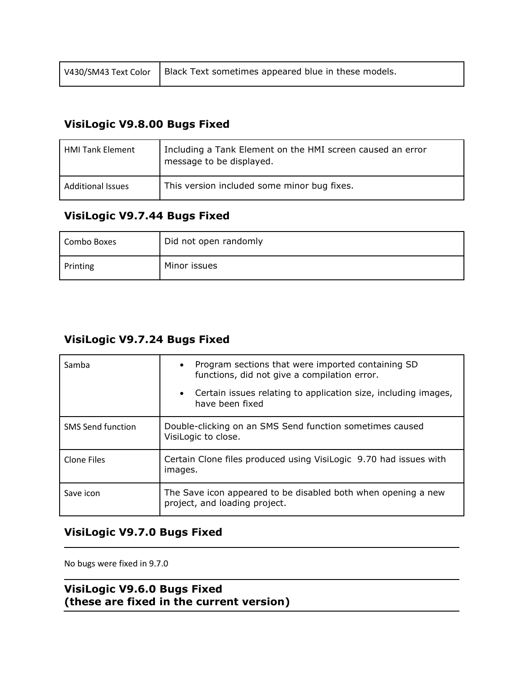|  | V430/SM43 Text Color   Black Text sometimes appeared blue in these models. |
|--|----------------------------------------------------------------------------|
|--|----------------------------------------------------------------------------|

### **VisiLogic V9.8.00 Bugs Fixed**

| <b>HMI Tank Element</b>  | Including a Tank Element on the HMI screen caused an error<br>message to be displayed. |
|--------------------------|----------------------------------------------------------------------------------------|
| <b>Additional Issues</b> | This version included some minor bug fixes.                                            |

### **VisiLogic V9.7.44 Bugs Fixed**

| Combo Boxes | Did not open randomly |
|-------------|-----------------------|
| Printing    | Minor issues          |

## **VisiLogic V9.7.24 Bugs Fixed**

| Samba                    | Program sections that were imported containing SD<br>$\bullet$<br>functions, did not give a compilation error.<br>Certain issues relating to application size, including images,<br>$\bullet$<br>have been fixed |
|--------------------------|------------------------------------------------------------------------------------------------------------------------------------------------------------------------------------------------------------------|
| <b>SMS</b> Send function | Double-clicking on an SMS Send function sometimes caused<br>VisiLogic to close.                                                                                                                                  |
| <b>Clone Files</b>       | Certain Clone files produced using VisiLogic 9.70 had issues with<br>images.                                                                                                                                     |
| Save icon                | The Save icon appeared to be disabled both when opening a new<br>project, and loading project.                                                                                                                   |

## **VisiLogic V9.7.0 Bugs Fixed**

No bugs were fixed in 9.7.0

**VisiLogic V9.6.0 Bugs Fixed (these are fixed in the current version)**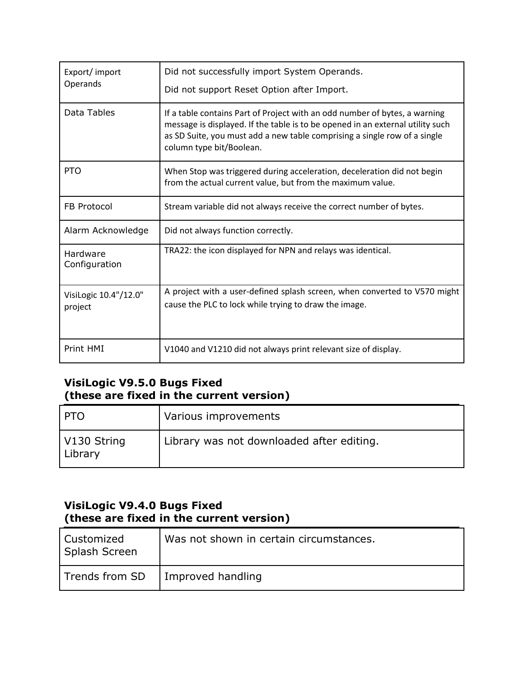| Export/import<br>Operands        | Did not successfully import System Operands.<br>Did not support Reset Option after Import.                                                                                                                                                                            |
|----------------------------------|-----------------------------------------------------------------------------------------------------------------------------------------------------------------------------------------------------------------------------------------------------------------------|
| Data Tables                      | If a table contains Part of Project with an odd number of bytes, a warning<br>message is displayed. If the table is to be opened in an external utility such<br>as SD Suite, you must add a new table comprising a single row of a single<br>column type bit/Boolean. |
| <b>PTO</b>                       | When Stop was triggered during acceleration, deceleration did not begin<br>from the actual current value, but from the maximum value.                                                                                                                                 |
| FB Protocol                      | Stream variable did not always receive the correct number of bytes.                                                                                                                                                                                                   |
| Alarm Acknowledge                | Did not always function correctly.                                                                                                                                                                                                                                    |
| Hardware<br>Configuration        | TRA22: the icon displayed for NPN and relays was identical.                                                                                                                                                                                                           |
| VisiLogic 10.4"/12.0"<br>project | A project with a user-defined splash screen, when converted to V570 might<br>cause the PLC to lock while trying to draw the image.                                                                                                                                    |
| Print HMI                        | V1040 and V1210 did not always print relevant size of display.                                                                                                                                                                                                        |

# **VisiLogic V9.5.0 Bugs Fixed (these are fixed in the current version)**

| l PTO                  | Various improvements                      |
|------------------------|-------------------------------------------|
| V130 String<br>Library | Library was not downloaded after editing. |

# **VisiLogic V9.4.0 Bugs Fixed (these are fixed in the current version)**

| l Customized<br>Splash Screen | Was not shown in certain circumstances. |
|-------------------------------|-----------------------------------------|
|                               | Trends from SD   Improved handling      |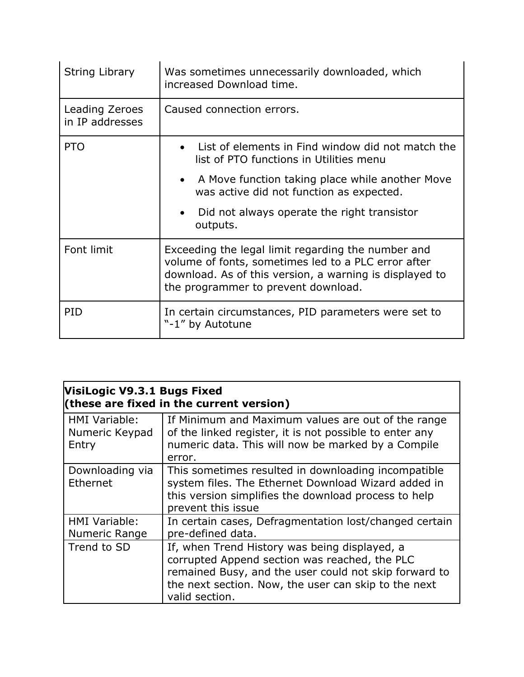| <b>String Library</b>             | Was sometimes unnecessarily downloaded, which<br>increased Download time.                                                                                                                                   |
|-----------------------------------|-------------------------------------------------------------------------------------------------------------------------------------------------------------------------------------------------------------|
| Leading Zeroes<br>in IP addresses | Caused connection errors.                                                                                                                                                                                   |
| <b>PTO</b>                        | List of elements in Find window did not match the<br>list of PTO functions in Utilities menu                                                                                                                |
|                                   | • A Move function taking place while another Move<br>was active did not function as expected.                                                                                                               |
|                                   | Did not always operate the right transistor<br>outputs.                                                                                                                                                     |
| Font limit                        | Exceeding the legal limit regarding the number and<br>volume of fonts, sometimes led to a PLC error after<br>download. As of this version, a warning is displayed to<br>the programmer to prevent download. |
| PID                               | In certain circumstances, PID parameters were set to<br>"-1" by Autotune                                                                                                                                    |

| VisiLogic V9.3.1 Bugs Fixed<br>(these are fixed in the current version) |                                                                                                                                                                                                                                   |
|-------------------------------------------------------------------------|-----------------------------------------------------------------------------------------------------------------------------------------------------------------------------------------------------------------------------------|
| <b>HMI Variable:</b><br>Numeric Keypad<br>Entry                         | If Minimum and Maximum values are out of the range<br>of the linked register, it is not possible to enter any<br>numeric data. This will now be marked by a Compile<br>error.                                                     |
| Downloading via<br>Ethernet                                             | This sometimes resulted in downloading incompatible<br>system files. The Ethernet Download Wizard added in<br>this version simplifies the download process to help<br>prevent this issue                                          |
| <b>HMI Variable:</b><br>Numeric Range                                   | In certain cases, Defragmentation lost/changed certain<br>pre-defined data.                                                                                                                                                       |
| Trend to SD                                                             | If, when Trend History was being displayed, a<br>corrupted Append section was reached, the PLC<br>remained Busy, and the user could not skip forward to<br>the next section. Now, the user can skip to the next<br>valid section. |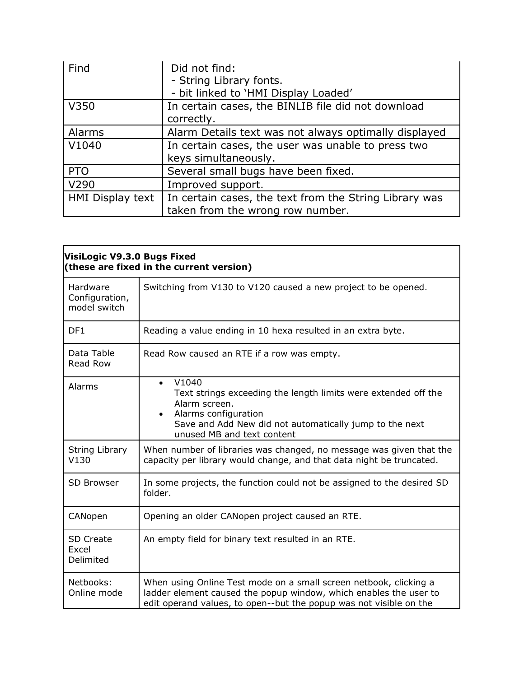| Find             | Did not find:<br>- String Library fonts.                                                   |
|------------------|--------------------------------------------------------------------------------------------|
|                  | - bit linked to 'HMI Display Loaded'                                                       |
| V350             | In certain cases, the BINLIB file did not download                                         |
|                  | correctly.                                                                                 |
| Alarms           | Alarm Details text was not always optimally displayed                                      |
| V1040            | In certain cases, the user was unable to press two<br>keys simultaneously.                 |
| <b>PTO</b>       | Several small bugs have been fixed.                                                        |
| V290             | Improved support.                                                                          |
| HMI Display text | In certain cases, the text from the String Library was<br>taken from the wrong row number. |

| VisiLogic V9.3.0 Bugs Fixed<br>(these are fixed in the current version) |                                                                                                                                                                                                                                     |
|-------------------------------------------------------------------------|-------------------------------------------------------------------------------------------------------------------------------------------------------------------------------------------------------------------------------------|
| Hardware<br>Configuration,<br>model switch                              | Switching from V130 to V120 caused a new project to be opened.                                                                                                                                                                      |
| DF1                                                                     | Reading a value ending in 10 hexa resulted in an extra byte.                                                                                                                                                                        |
| Data Table<br>Read Row                                                  | Read Row caused an RTE if a row was empty.                                                                                                                                                                                          |
| Alarms                                                                  | V1040<br>$\bullet$<br>Text strings exceeding the length limits were extended off the<br>Alarm screen.<br>Alarms configuration<br>$\bullet$<br>Save and Add New did not automatically jump to the next<br>unused MB and text content |
| String Library<br>V130                                                  | When number of libraries was changed, no message was given that the<br>capacity per library would change, and that data night be truncated.                                                                                         |
| SD Browser                                                              | In some projects, the function could not be assigned to the desired SD<br>folder.                                                                                                                                                   |
| CANopen                                                                 | Opening an older CANopen project caused an RTE.                                                                                                                                                                                     |
| <b>SD Create</b><br>Excel<br>Delimited                                  | An empty field for binary text resulted in an RTE.                                                                                                                                                                                  |
| Netbooks:<br>Online mode                                                | When using Online Test mode on a small screen netbook, clicking a<br>ladder element caused the popup window, which enables the user to<br>edit operand values, to open--but the popup was not visible on the                        |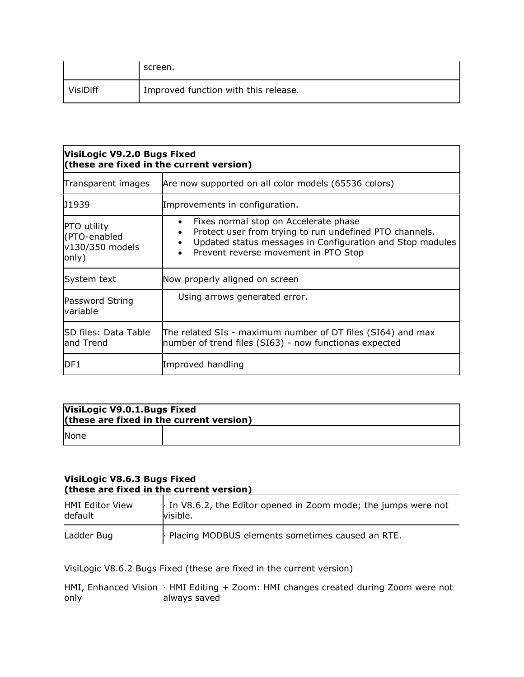|                 | screen.                              |
|-----------------|--------------------------------------|
| <b>VisiDiff</b> | Improved function with this release. |

| VisiLogic V9.2.0 Bugs Fixed<br>(these are fixed in the current version) |                                                                                                                                                                                                                    |  |
|-------------------------------------------------------------------------|--------------------------------------------------------------------------------------------------------------------------------------------------------------------------------------------------------------------|--|
| Transparent images                                                      | Are now supported on all color models (65536 colors)                                                                                                                                                               |  |
| J1939                                                                   | Improvements in configuration.                                                                                                                                                                                     |  |
| PTO utility<br>(PTO-enabled<br>v130/350 models<br>only)                 | Fixes normal stop on Accelerate phase<br>Protect user from trying to run undefined PTO channels.<br>Updated status messages in Configuration and Stop modules<br>Prevent reverse movement in PTO Stop<br>$\bullet$ |  |
| System text                                                             | Now properly aligned on screen                                                                                                                                                                                     |  |
| Password String<br>variable                                             | Using arrows generated error.                                                                                                                                                                                      |  |
| SD files: Data Table<br>and Trend                                       | The related SIs - maximum number of DT files (SI64) and max<br>number of trend files (SI63) - now functionas expected                                                                                              |  |
| DF1                                                                     | Improved handling                                                                                                                                                                                                  |  |

| VisiLogic V9.0.1.Bugs Fixed<br>(these are fixed in the current version) |  |  |
|-------------------------------------------------------------------------|--|--|
| None                                                                    |  |  |

### **VisiLogic V8.6.3 Bugs Fixed (these are fixed in the current version)**

| <b>HMI Editor View</b> | $\cdot$ In V8.6.2, the Editor opened in Zoom mode; the jumps were not |
|------------------------|-----------------------------------------------------------------------|
| default                | visible.                                                              |
| Ladder Bug             | Placing MODBUS elements sometimes caused an RTE.                      |

VisiLogic V8.6.2 Bugs Fixed (these are fixed in the current version)

HMI, Enhanced Vision · HMI Editing + Zoom: HMI changes created during Zoom were not only always saved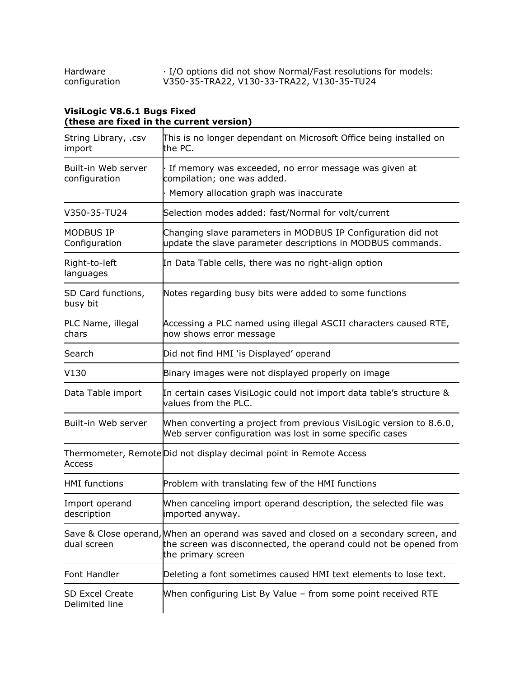| Hardware      | · I/O options did not show Normal/Fast resolutions for models: |
|---------------|----------------------------------------------------------------|
| configuration | V350-35-TRA22, V130-33-TRA22, V130-35-TU24                     |

### **VisiLogic V8.6.1 Bugs Fixed (these are fixed in the current version)**

| String Library, .csv<br>import           | This is no longer dependant on Microsoft Office being installed on<br>the PC.                                                                                                    |  |
|------------------------------------------|----------------------------------------------------------------------------------------------------------------------------------------------------------------------------------|--|
| Built-in Web server<br>configuration     | If memory was exceeded, no error message was given at<br>compilation; one was added.                                                                                             |  |
|                                          | Memory allocation graph was inaccurate                                                                                                                                           |  |
| V350-35-TU24                             | Selection modes added: fast/Normal for volt/current                                                                                                                              |  |
| <b>MODBUS IP</b><br>Configuration        | Changing slave parameters in MODBUS IP Configuration did not<br>update the slave parameter descriptions in MODBUS commands.                                                      |  |
| Right-to-left<br>languages               | In Data Table cells, there was no right-align option                                                                                                                             |  |
| SD Card functions,<br>busy bit           | Notes regarding busy bits were added to some functions                                                                                                                           |  |
| PLC Name, illegal<br>chars               | Accessing a PLC named using illegal ASCII characters caused RTE,<br>now shows error message                                                                                      |  |
| Search                                   | Did not find HMI 'is Displayed' operand                                                                                                                                          |  |
| V130                                     | Binary images were not displayed properly on image                                                                                                                               |  |
| Data Table import                        | In certain cases VisiLogic could not import data table's structure &<br>values from the PLC.                                                                                     |  |
| Built-in Web server                      | When converting a project from previous VisiLogic version to 8.6.0,<br>Web server configuration was lost in some specific cases                                                  |  |
| <b>Access</b>                            | Thermometer, Remote Did not display decimal point in Remote Access                                                                                                               |  |
| <b>HMI</b> functions                     | Problem with translating few of the HMI functions                                                                                                                                |  |
| Import operand<br>description            | When canceling import operand description, the selected file was<br>imported anyway.                                                                                             |  |
| dual screen                              | Save & Close operand, When an operand was saved and closed on a secondary screen, and<br>the screen was disconnected, the operand could not be opened from<br>the primary screen |  |
| Font Handler                             | Deleting a font sometimes caused HMI text elements to lose text.                                                                                                                 |  |
| <b>SD Excel Create</b><br>Delimited line | When configuring List By Value - from some point received RTE                                                                                                                    |  |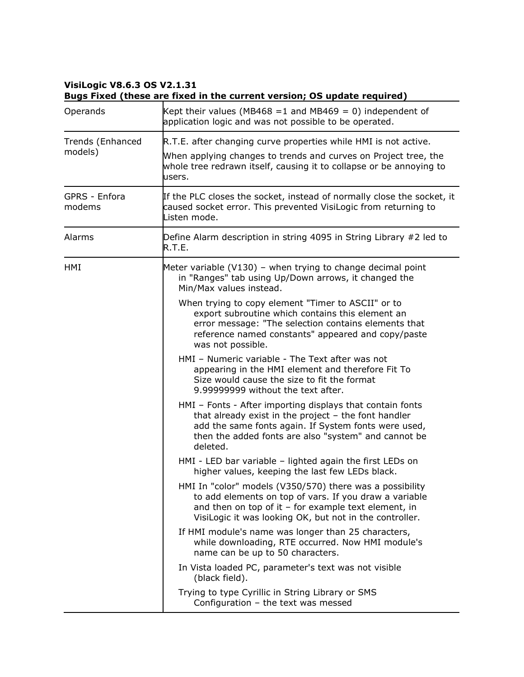#### **VisiLogic V8.6.3 OS V2.1.31 Bugs Fixed (these are fixed in the current version; OS update required)**

|                             | $\frac{1}{2}$ and the annual value of $\frac{1}{2}$ and $\frac{1}{2}$                                                                                                                                                                           |
|-----------------------------|-------------------------------------------------------------------------------------------------------------------------------------------------------------------------------------------------------------------------------------------------|
| Operands                    | Kept their values (MB468 = 1 and MB469 = 0) independent of<br>application logic and was not possible to be operated.                                                                                                                            |
| Trends (Enhanced<br>models) | R.T.E. after changing curve properties while HMI is not active.<br>When applying changes to trends and curves on Project tree, the<br>whole tree redrawn itself, causing it to collapse or be annoying to<br>users.                             |
| GPRS - Enfora<br>modems     | If the PLC closes the socket, instead of normally close the socket, it<br>caused socket error. This prevented VisiLogic from returning to<br>Listen mode.                                                                                       |
| Alarms                      | Define Alarm description in string 4095 in String Library #2 led to<br>R.T.E.                                                                                                                                                                   |
| <b>HMI</b>                  | Meter variable (V130) – when trying to change decimal point<br>in "Ranges" tab using Up/Down arrows, it changed the<br>Min/Max values instead.                                                                                                  |
|                             | When trying to copy element "Timer to ASCII" or to<br>export subroutine which contains this element an<br>error message: "The selection contains elements that<br>reference named constants" appeared and copy/paste<br>was not possible.       |
|                             | HMI - Numeric variable - The Text after was not<br>appearing in the HMI element and therefore Fit To<br>Size would cause the size to fit the format<br>9.99999999 without the text after.                                                       |
|                             | HMI - Fonts - After importing displays that contain fonts<br>that already exist in the project $-$ the font handler<br>add the same fonts again. If System fonts were used,<br>then the added fonts are also "system" and cannot be<br>deleted. |
|                             | HMI - LED bar variable - lighted again the first LEDs on<br>higher values, keeping the last few LEDs black.                                                                                                                                     |
|                             | HMI In "color" models (V350/570) there was a possibility<br>to add elements on top of vars. If you draw a variable<br>and then on top of it $-$ for example text element, in<br>VisiLogic it was looking OK, but not in the controller.         |
|                             | If HMI module's name was longer than 25 characters,<br>while downloading, RTE occurred. Now HMI module's<br>name can be up to 50 characters.                                                                                                    |
|                             | In Vista loaded PC, parameter's text was not visible<br>(black field).                                                                                                                                                                          |
|                             | Trying to type Cyrillic in String Library or SMS<br>Configuration - the text was messed                                                                                                                                                         |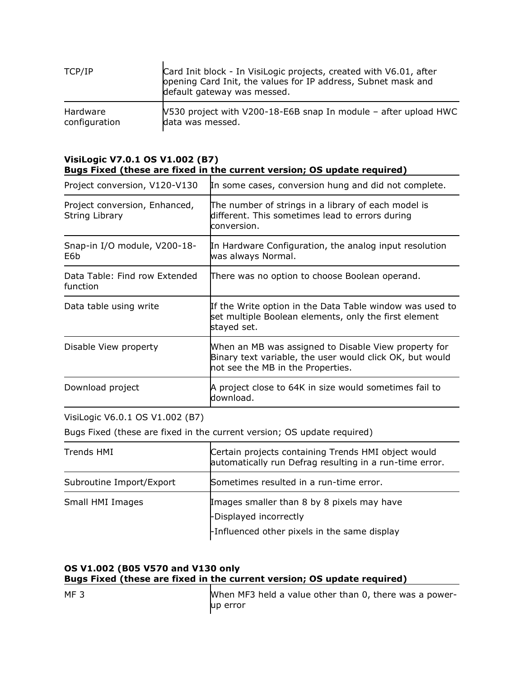| TCP/IP        | Card Init block - In VisiLogic projects, created with V6.01, after<br>opening Card Init, the values for IP address, Subnet mask and<br>default gateway was messed. |
|---------------|--------------------------------------------------------------------------------------------------------------------------------------------------------------------|
| Hardware      | V530 project with V200-18-E6B snap In module - after upload HWC                                                                                                    |
| configuration | data was messed.                                                                                                                                                   |

### **VisiLogic V7.0.1 OS V1.002 (B7) Bugs Fixed (these are fixed in the current version; OS update required)**

| Project conversion, V120-V130                   | In some cases, conversion hung and did not complete.                                                                                                  |
|-------------------------------------------------|-------------------------------------------------------------------------------------------------------------------------------------------------------|
| Project conversion, Enhanced,<br>String Library | The number of strings in a library of each model is<br>different. This sometimes lead to errors during<br>conversion.                                 |
| Snap-in I/O module, V200-18-<br>E6b             | In Hardware Configuration, the analog input resolution<br>was always Normal.                                                                          |
| Data Table: Find row Extended<br>function       | There was no option to choose Boolean operand.                                                                                                        |
| Data table using write                          | If the Write option in the Data Table window was used to<br>set multiple Boolean elements, only the first element<br>stayed set.                      |
| Disable View property                           | When an MB was assigned to Disable View property for<br>Binary text variable, the user would click OK, but would<br>not see the MB in the Properties. |
| Download project                                | A project close to 64K in size would sometimes fail to<br>download.                                                                                   |

### VisiLogic V6.0.1 OS V1.002 (B7)

Bugs Fixed (these are fixed in the current version; OS update required)

| Trends HMI               | Certain projects containing Trends HMI object would<br>automatically run Defrag resulting in a run-time error. |
|--------------------------|----------------------------------------------------------------------------------------------------------------|
| Subroutine Import/Export | Sometimes resulted in a run-time error.                                                                        |
| Small HMI Images         | Images smaller than 8 by 8 pixels may have<br>-Displayed incorrectly                                           |
|                          | -Influenced other pixels in the same display                                                                   |

| OS V1.002 (B05 V570 and V130 only |                                                                         |
|-----------------------------------|-------------------------------------------------------------------------|
|                                   | Bugs Fixed (these are fixed in the current version; OS update required) |
|                                   |                                                                         |

MF 3 ME 3 When MF3 held a value other than 0, there was a powerup error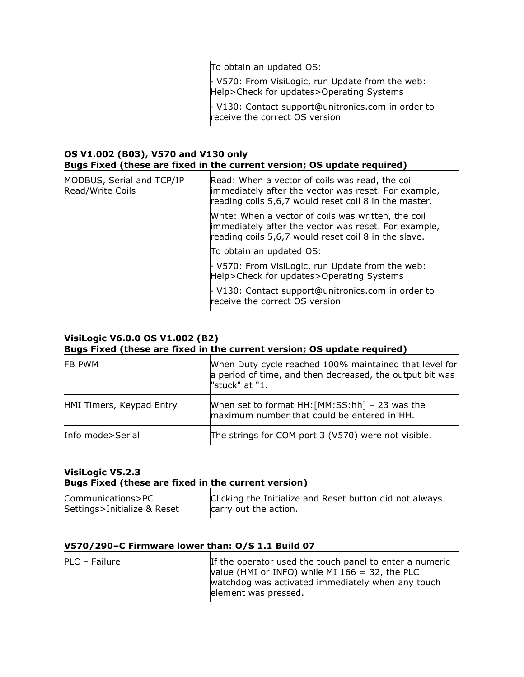To obtain an updated OS:

· V570: From VisiLogic, run Update from the web: Help>Check for updates>Operating Systems · V130: Contact [support@unitronics.com](mailto:support@unitronics.com) in order to receive the correct OS version

### **OS V1.002 (B03), V570 and V130 only Bugs Fixed (these are fixed in the current version; OS update required)**

| MODBUS, Serial and TCP/IP<br>Read/Write Coils | Read: When a vector of coils was read, the coil<br>immediately after the vector was reset. For example,<br>reading coils 5,6,7 would reset coil 8 in the master.    |
|-----------------------------------------------|---------------------------------------------------------------------------------------------------------------------------------------------------------------------|
|                                               | Write: When a vector of coils was written, the coil<br>immediately after the vector was reset. For example,<br>reading coils 5,6,7 would reset coil 8 in the slave. |
|                                               | To obtain an updated OS:                                                                                                                                            |
|                                               | V570: From VisiLogic, run Update from the web:<br>Help>Check for updates>Operating Systems                                                                          |
|                                               | · V130: Contact support@unitronics.com in order to<br>receive the correct OS version                                                                                |

### **VisiLogic V6.0.0 OS V1.002 (B2)**

### **Bugs Fixed (these are fixed in the current version; OS update required)**

| FB PWM                   | When Duty cycle reached 100% maintained that level for<br>a period of time, and then decreased, the output bit was<br>"stuck" at "1. |
|--------------------------|--------------------------------------------------------------------------------------------------------------------------------------|
| HMI Timers, Keypad Entry | When set to format $HH:[MM:SS:hh]$ – 23 was the<br>maximum number that could be entered in HH.                                       |
| Info mode>Serial         | The strings for COM port 3 (V570) were not visible.                                                                                  |

#### **VisiLogic V5.2.3 Bugs Fixed (these are fixed in the current version)**

| Communications>PC           | Clicking the Initialize and Reset button did not always |
|-----------------------------|---------------------------------------------------------|
| Settings>Initialize & Reset | carry out the action.                                   |

### **V570/290–C Firmware lower than: O/S 1.1 Build 07**

| PLC - Failure | If the operator used the touch panel to enter a numeric |
|---------------|---------------------------------------------------------|
|               | value (HMI or INFO) while MI $166 = 32$ , the PLC       |
|               | watchdog was activated immediately when any touch       |
|               | element was pressed.                                    |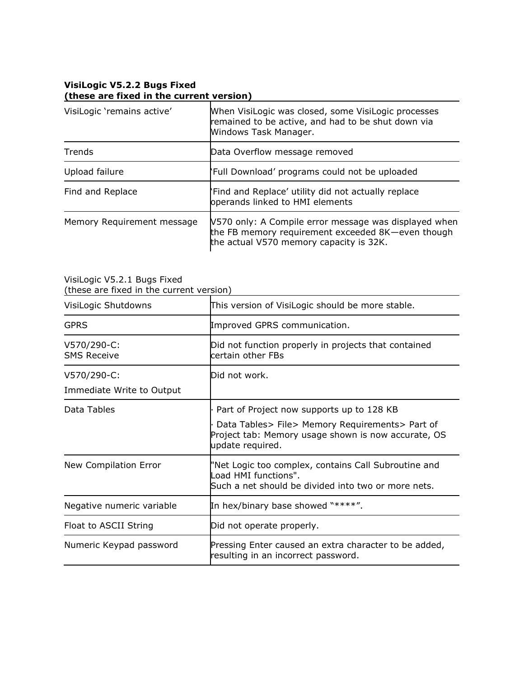#### **VisiLogic V5.2.2 Bugs Fixed (these are fixed in the current version)**

| VisiLogic 'remains active' | When VisiLogic was closed, some VisiLogic processes<br>remained to be active, and had to be shut down via<br>Windows Task Manager.                    |
|----------------------------|-------------------------------------------------------------------------------------------------------------------------------------------------------|
| Trends                     | Data Overflow message removed                                                                                                                         |
| Upload failure             | Full Download' programs could not be uploaded                                                                                                         |
| Find and Replace           | Find and Replace' utility did not actually replace<br>operands linked to HMI elements                                                                 |
| Memory Requirement message | V570 only: A Compile error message was displayed when<br>the FB memory requirement exceeded 8K-even though<br>the actual V570 memory capacity is 32K. |

#### VisiLogic V5.2.1 Bugs Fixed (these are fixed in the current version)

| VisiLogic Shutdowns                      | This version of VisiLogic should be more stable.                                                                                                                        |
|------------------------------------------|-------------------------------------------------------------------------------------------------------------------------------------------------------------------------|
| <b>GPRS</b>                              | Improved GPRS communication.                                                                                                                                            |
| V570/290-C:<br><b>SMS Receive</b>        | Did not function properly in projects that contained<br>certain other FBs                                                                                               |
| V570/290-C:<br>Immediate Write to Output | Did not work.                                                                                                                                                           |
| Data Tables                              | Part of Project now supports up to 128 KB<br>Data Tables> File> Memory Requirements> Part of<br>Project tab: Memory usage shown is now accurate, OS<br>update required. |
| New Compilation Error                    | "Net Logic too complex, contains Call Subroutine and<br>Load HMI functions".<br>Such a net should be divided into two or more nets.                                     |
| Negative numeric variable                | In hex/binary base showed "****".                                                                                                                                       |
| Float to ASCII String                    | Did not operate properly.                                                                                                                                               |
| Numeric Keypad password                  | Pressing Enter caused an extra character to be added,<br>resulting in an incorrect password.                                                                            |